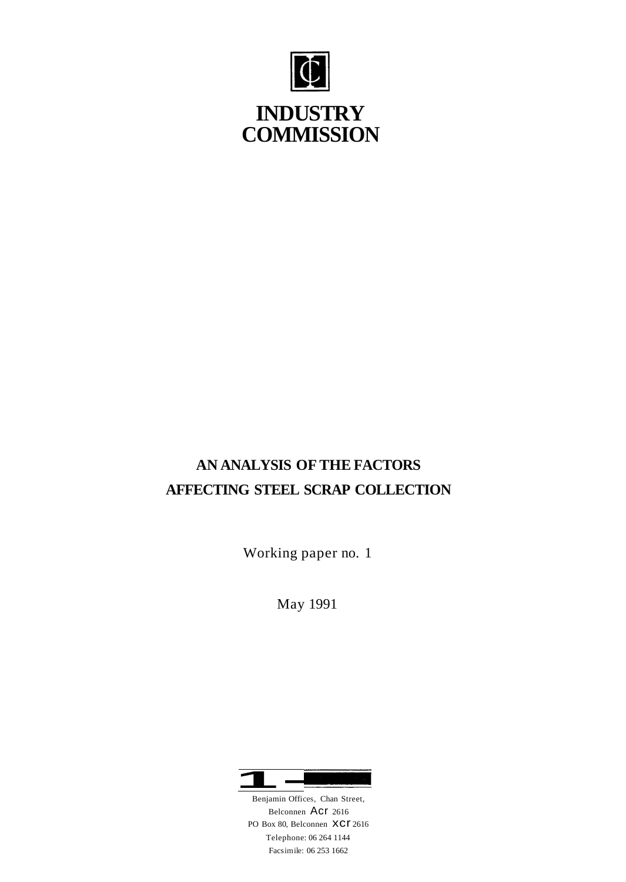

# **INDUSTRY COMMISSION**

# **AN ANALYSIS OF THE FACTORS AFFECTING STEEL SCRAP COLLECTION**

Working paper no. 1

May 1991



Belconnen Acr 2616 PO Box 80, Belconnen XCI 2616 Telephone: 06 264 1144 Facsimile: 06 253 1662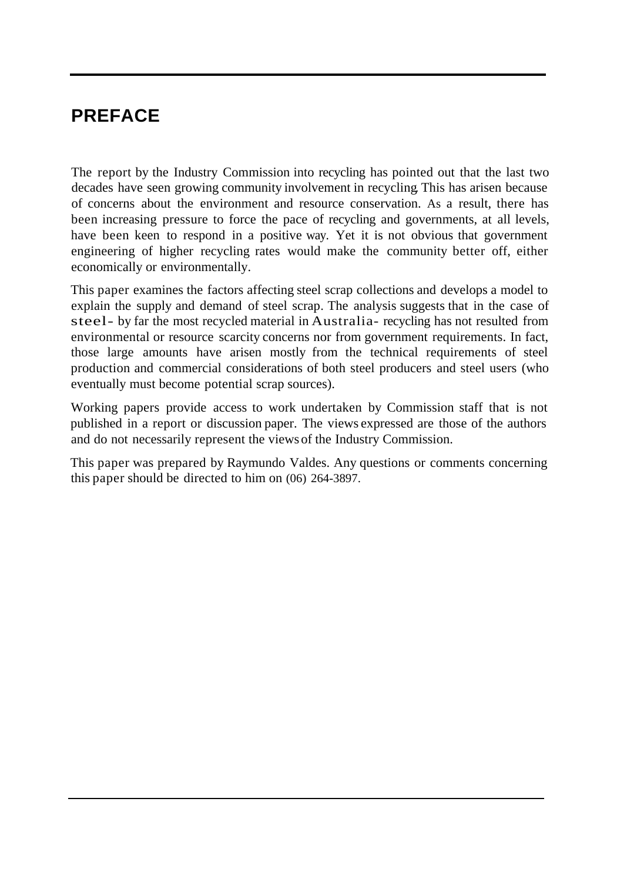# **PREFACE**

The report by the Industry Commission into recycling has pointed out that the last two decades have seen growing community involvement in recycling. This has arisen because of concerns about the environment and resource conservation. As a result, there has been increasing pressure to force the pace of recycling and governments, at all levels, have been keen to respond in a positive way. Yet it is not obvious that government engineering of higher recycling rates would make the community better off, either economically or environmentally.

This paper examines the factors affecting steel scrap collections and develops a model to explain the supply and demand of steel scrap. The analysis suggests that in the case of steel- by far the most recycled material in Australia- recycling has not resulted from environmental or resource scarcity concerns nor from government requirements. In fact, those large amounts have arisen mostly from the technical requirements of steel production and commercial considerations of both steel producers and steel users (who eventually must become potential scrap sources).

Working papers provide access to work undertaken by Commission staff that is not published in a report or discussion paper. The views expressed are those of the authors and do not necessarily represent the views of the Industry Commission.

This paper was prepared by Raymundo Valdes. Any questions or comments concerning this paper should be directed to him on (06) 264-3897.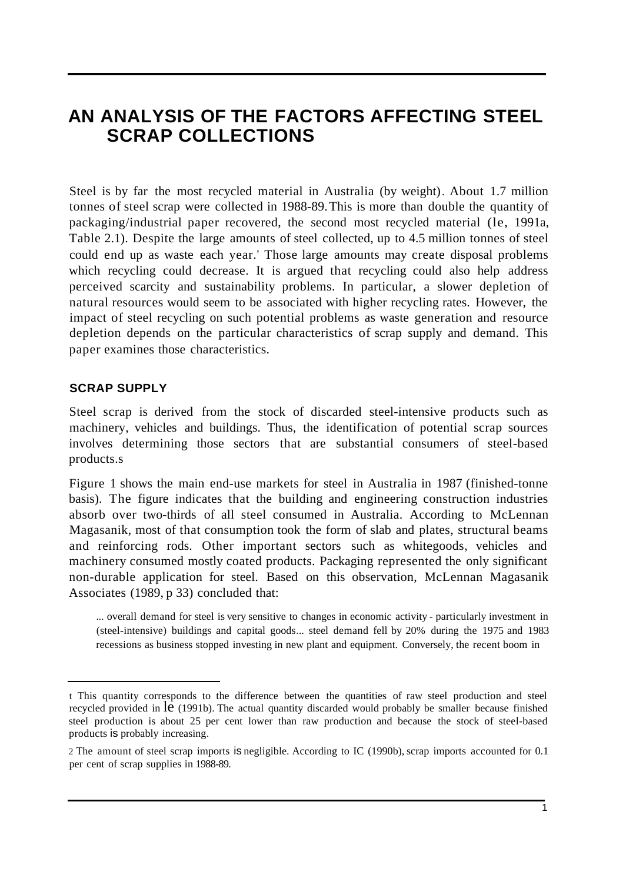# **AN ANALYSIS OF THE FACTORS AFFECTING STEEL SCRAP COLLECTIONS**

Steel is by far the most recycled material in Australia (by weight). About 1.7 million tonnes of steel scrap were collected in 1988-89. This is more than double the quantity of packaging/industrial paper recovered, the second most recycled material (le, 1991a, Table 2.1). Despite the large amounts of steel collected, up to 4.5 million tonnes of steel could end up as waste each year.' Those large amounts may create disposal problems which recycling could decrease. It is argued that recycling could also help address perceived scarcity and sustainability problems. In particular, a slower depletion of natural resources would seem to be associated with higher recycling rates. However, the impact of steel recycling on such potential problems as waste generation and resource depletion depends on the particular characteristics of scrap supply and demand. This paper examines those characteristics.

# **SCRAP SUPPLY**

Steel scrap is derived from the stock of discarded steel-intensive products such as machinery, vehicles and buildings. Thus, the identification of potential scrap sources involves determining those sectors that are substantial consumers of steel-based products.s

Figure 1 shows the main end-use markets for steel in Australia in 1987 (finished-tonne basis). The figure indicates that the building and engineering construction industries absorb over two-thirds of all steel consumed in Australia. According to McLennan Magasanik, most of that consumption took the form of slab and plates, structural beams and reinforcing rods. Other important sectors such as whitegoods, vehicles and machinery consumed mostly coated products. Packaging represented the only significant non-durable application for steel. Based on this observation, McLennan Magasanik Associates (1989, p 33) concluded that:

... overall demand for steel is very sensitive to changes in economic activity - particularly investment in (steel-intensive) buildings and capital goods... steel demand fell by 20% during the 1975 and 1983 recessions as business stopped investing in new plant and equipment. Conversely, the recent boom in

t This quantity corresponds to the difference between the quantities of raw steel production and steel recycled provided in le (1991b). The actual quantity discarded would probably be smaller because finished steel production is about 25 per cent lower than raw production and because the stock of steel-based products is probably increasing.

<sup>2</sup> The amount of steel scrap imports is negligible. According to IC (1990b), scrap imports accounted for 0.1 per cent of scrap supplies in 1988-89.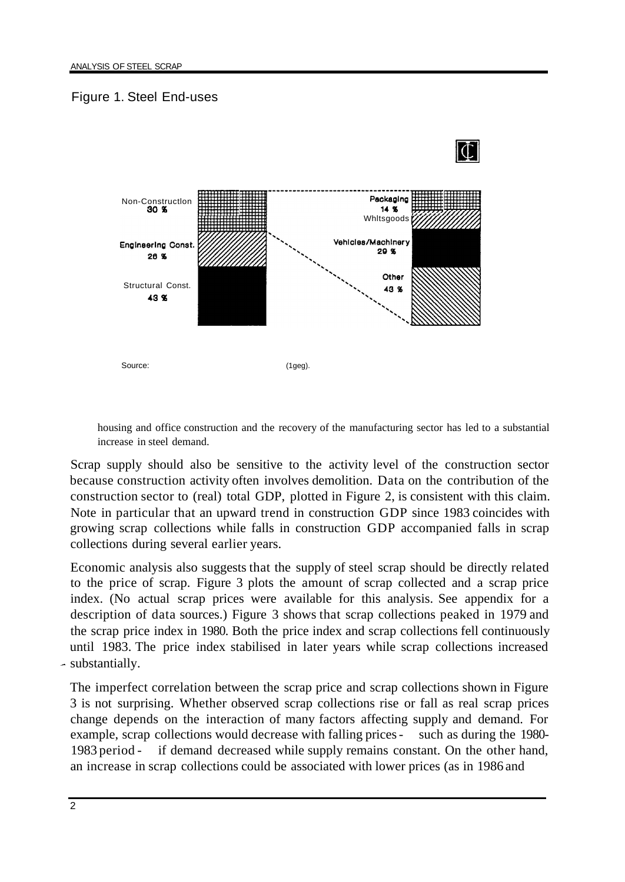# Figure 1. Steel End-uses



housing and office construction and the recovery of the manufacturing sector has led to a substantial increase in steel demand.

Scrap supply should also be sensitive to the activity level of the construction sector because construction activity often involves demolition. Data on the contribution of the construction sector to (real) total GDP, plotted in Figure 2, is consistent with this claim. Note in particular that an upward trend in construction GDP since 1983 coincides with growing scrap collections while falls in construction GDP accompanied falls in scrap collections during several earlier years.

Economic analysis also suggests that the supply of steel scrap should be directly related to the price of scrap. Figure 3 plots the amount of scrap collected and a scrap price index. (No actual scrap prices were available for this analysis. See appendix for a description of data sources.) Figure 3 shows that scrap collections peaked in 1979 and the scrap price index in 1980. Both the price index and scrap collections fell continuously until 1983. The price index stabilised in later years while scrap collections increased - substantially.

The imperfect correlation between the scrap price and scrap collections shown in Figure 3 is not surprising. Whether observed scrap collections rise or fall as real scrap prices change depends on the interaction of many factors affecting supply and demand. For example, scrap collections would decrease with falling prices - such as during the 1980-1983 period - if demand decreased while supply remains constant. On the other hand, an increase in scrap collections could be associated with lower prices (as in 1986 and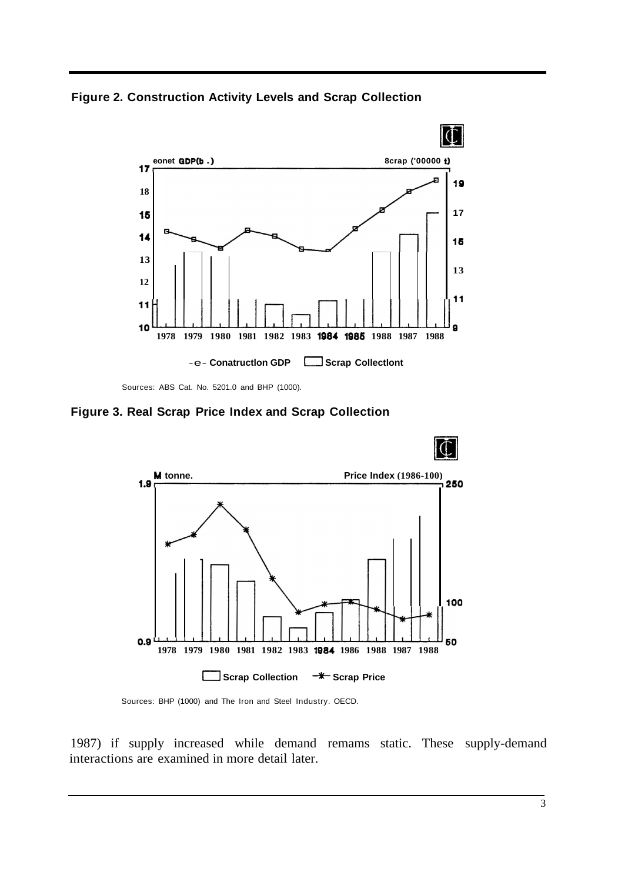**Figure 2. Construction Activity Levels and Scrap Collection** 



Sources: ABS Cat. No. 5201.0 and BHP (1000).

**Figure 3. Real Scrap Price Index and Scrap Collection** 



Sources: BHP (1000) and The Iron and Steel Industry. OECD.

1987) if supply increased while demand remams static. These supply-demand interactions are examined in more detail later.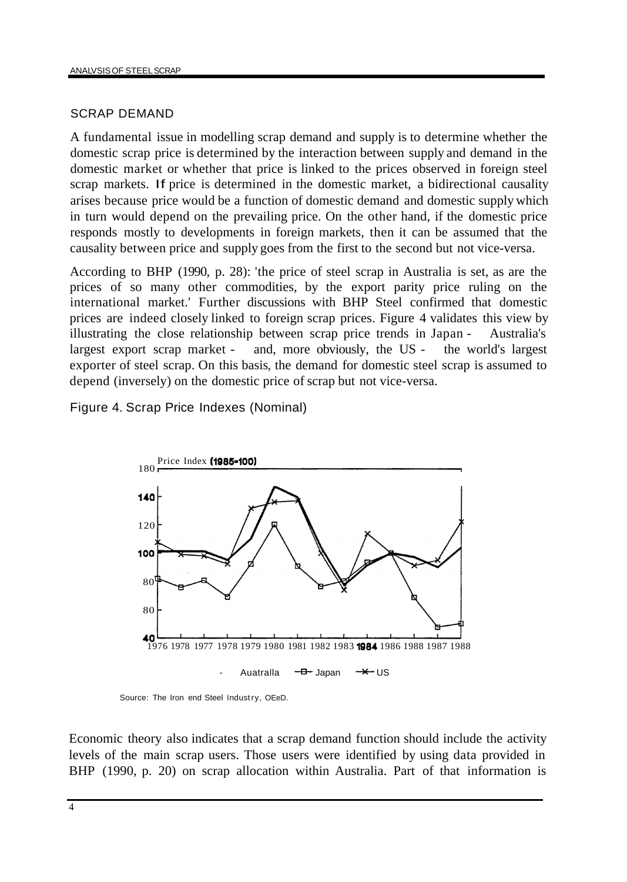# SCRAP DEMAND

A fundamental issue in modelling scrap demand and supply is to determine whether the domestic scrap price is determined by the interaction between supply and demand in the domestic market or whether that price is linked to the prices observed in foreign steel scrap markets. If price is determined in the domestic market, a bidirectional causality arises because price would be a function of domestic demand and domestic supply which in turn would depend on the prevailing price. On the other hand, if the domestic price responds mostly to developments in foreign markets, then it can be assumed that the causality between price and supply goes from the first to the second but not vice-versa.

According to BHP (1990, p. 28): 'the price of steel scrap in Australia is set, as are the prices of so many other commodities, by the export parity price ruling on the international market.' Further discussions with BHP Steel confirmed that domestic prices are indeed closely linked to foreign scrap prices. Figure 4 validates this view by illustrating the close relationship between scrap price trends in Japan - Australia's largest export scrap market - and, more obviously, the US - the world's largest exporter of steel scrap. On this basis, the demand for domestic steel scrap is assumed to depend (inversely) on the domestic price of scrap but not vice-versa.

Figure 4. Scrap Price Indexes (Nominal)



Source: The Iron end Steel Industry, OEeD.

Economic theory also indicates that a scrap demand function should include the activity levels of the main scrap users. Those users were identified by using data provided in BHP (1990, p. 20) on scrap allocation within Australia. Part of that information is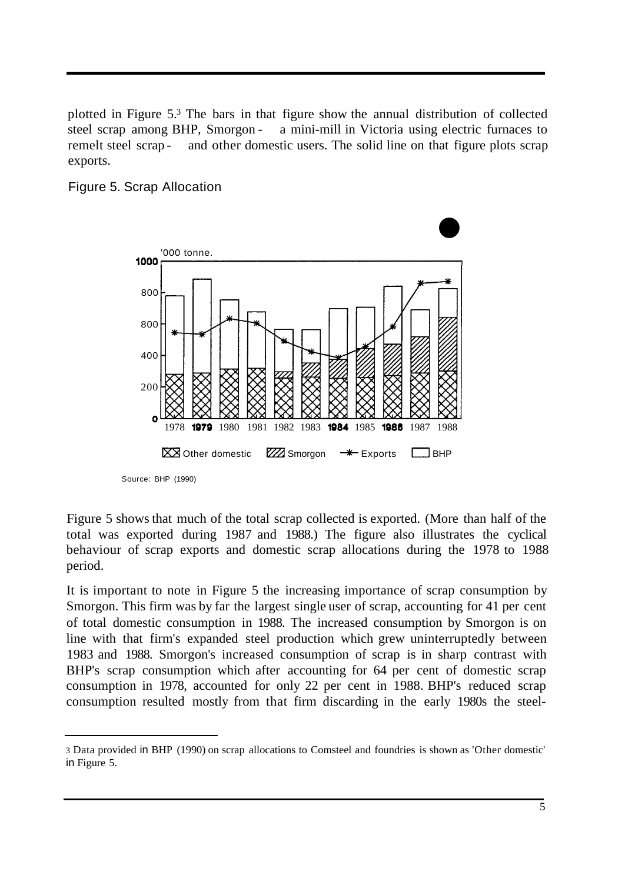plotted in Figure 5.3 The bars in that figure show the annual distribution of collected steel scrap among BHP, Smorgon - a mini-mill in Victoria using electric furnaces to remelt steel scrap - and other domestic users. The solid line on that figure plots scrap exports.

# Figure 5. Scrap Allocation



Source: BHP (1990)

Figure 5 shows that much of the total scrap collected is exported. (More than half of the total was exported during 1987 and 1988.) The figure also illustrates the cyclical behaviour of scrap exports and domestic scrap allocations during the 1978 to 1988 period.

It is important to note in Figure 5 the increasing importance of scrap consumption by Smorgon. This firm was by far the largest single user of scrap, accounting for 41 per cent of total domestic consumption in 1988. The increased consumption by Smorgon is on line with that firm's expanded steel production which grew uninterruptedly between 1983 and 1988. Smorgon's increased consumption of scrap is in sharp contrast with BHP's scrap consumption which after accounting for 64 per cent of domestic scrap consumption in 1978, accounted for only 22 per cent in 1988. BHP's reduced scrap consumption resulted mostly from that firm discarding in the early 1980s the steel-

<sup>3</sup> Data provided in BHP (1990) on scrap allocations to Comsteel and foundries is shown as 'Other domestic' in Figure 5.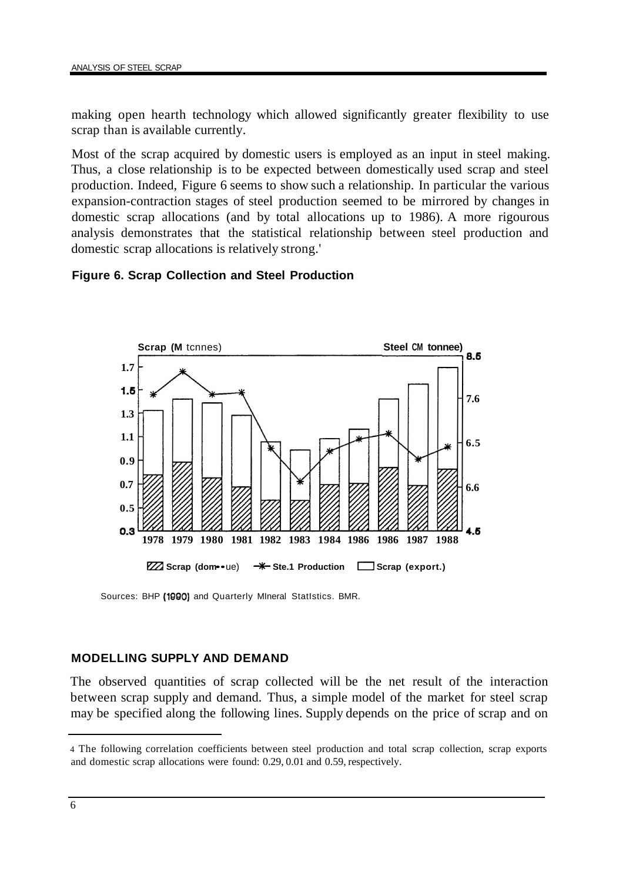making open hearth technology which allowed significantly greater flexibility to use scrap than is available currently.

Most of the scrap acquired by domestic users is employed as an input in steel making. Thus, a close relationship is to be expected between domestically used scrap and steel production. Indeed, Figure 6 seems to show such a relationship. In particular the various expansion-contraction stages of steel production seemed to be mirrored by changes in domestic scrap allocations (and by total allocations up to 1986). A more rigourous analysis demonstrates that the statistical relationship between steel production and domestic scrap allocations is relatively strong.'

# **Figure 6. Scrap Collection and Steel Production**



Sources: BHP (1990) and Quarterly Mineral Statistics. BMR.

# **MODELLING SUPPLY AND DEMAND**

The observed quantities of scrap collected will be the net result of the interaction between scrap supply and demand. Thus, a simple model of the market for steel scrap may be specified along the following lines. Supply depends on the price of scrap and on

<sup>4</sup> The following correlation coefficients between steel production and total scrap collection, scrap exports and domestic scrap allocations were found: 0.29, 0.01 and 0.59, respectively.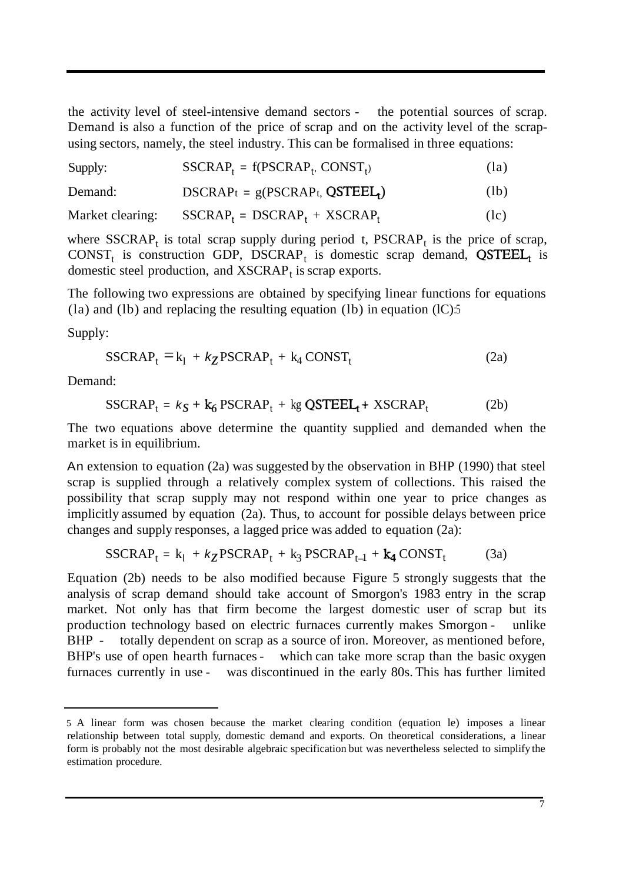the activity level of steel-intensive demand sectors - the potential sources of scrap. Demand is also a function of the price of scrap and on the activity level of the scrapusing sectors, namely, the steel industry. This can be formalised in three equations:

| $SSCRAP_t = f(PSCRAP_t, CONST_t)$<br>Supply: | (la) |
|----------------------------------------------|------|
|----------------------------------------------|------|

| Demand: | $DSCRAP_t = g(PSCRAP_t, QSTEEL_t)$ | (lb) |
|---------|------------------------------------|------|
|---------|------------------------------------|------|

Market clearing:  $SSCRAP_t = DSCRAP_t + XSCRAP_t$  (lc)

where  $SSCRAP_t$  is total scrap supply during period t,  $PSCRAP_t$  is the price of scrap,  $CONF_t$  is construction GDP, DSCRAP<sub>t</sub> is domestic scrap demand,  $QSTEEL_t$  is domestic steel production, and  $XSCRAP<sub>t</sub>$  is scrap exports.

The following two expressions are obtained by specifying linear functions for equations (la) and (lb) and replacing the resulting equation (lb) in equation  $(IC)$ :5

Supply:

$$
SSCRAP_t = k_1 + k_Z PSCRAP_t + k_4 CONST_t
$$
 (2a)

Demand:

$$
SSCRAP_t = k_S + k_6 \, PSCRAP_t + kg \, QSTEEL_t + XSCRAP_t \tag{2b}
$$

The two equations above determine the quantity supplied and demanded when the market is in equilibrium.

An extension to equation (2a) was suggested by the observation in BHP (1990) that steel scrap is supplied through a relatively complex system of collections. This raised the possibility that scrap supply may not respond within one year to price changes as implicitly assumed by equation (2a). Thus, to account for possible delays between price changes and supply responses, a lagged price was added to equation (2a):

$$
SSCRAP_t = k_1 + k_Z PSCRAP_t + k_3 PSCRAP_{t-1} + k_4 CONST_t \tag{3a}
$$

Equation (2b) needs to be also modified because Figure 5 strongly suggests that the analysis of scrap demand should take account of Smorgon's 1983 entry in the scrap market. Not only has that firm become the largest domestic user of scrap but its production technology based on electric furnaces currently makes Smorgon - unlike BHP - totally dependent on scrap as a source of iron. Moreover, as mentioned before, BHP's use of open hearth furnaces - which can take more scrap than the basic oxygen furnaces currently in use - was discontinued in the early 80s. This has further limited

<sup>5</sup> A linear form was chosen because the market clearing condition (equation le) imposes a linear relationship between total supply, domestic demand and exports. On theoretical considerations, a linear form is probably not the most desirable algebraic specification but was nevertheless selected to simplify the estimation procedure.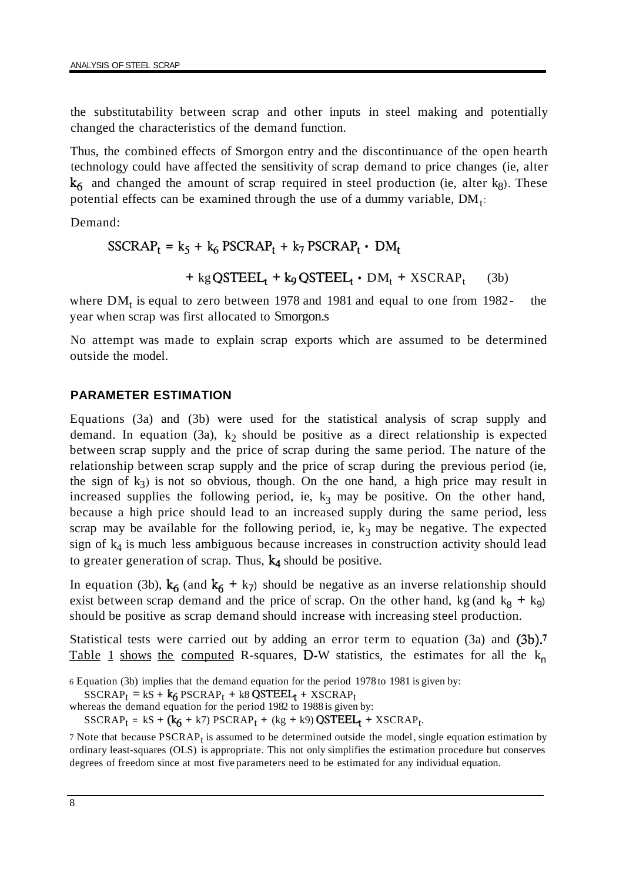the substitutability between scrap and other inputs in steel making and potentially changed the characteristics of the demand function.

Thus, the combined effects of Smorgon entry and the discontinuance of the open hearth technology could have affected the sensitivity of scrap demand to price changes (ie, alter  $k<sub>6</sub>$  and changed the amount of scrap required in steel production (ie, alter kg). These potential effects can be examined through the use of a dummy variable,  $DM_t$ :

Demand:

 $SSCRAP_t = k_5 + k_6 PSCRAP_t + k_7 PSCRAP_t \cdot DM_t$ 

 $+$  kg QSTEEL<sub>1</sub> + k<sub>9</sub> QSTEEL<sub>1</sub> · DM<sub>t</sub> + XSCRAP<sub>t</sub> (3b)

where  $DM_t$  is equal to zero between 1978 and 1981 and equal to one from 1982- the year when scrap was first allocated to Smorgon.s

No attempt was made to explain scrap exports which are assumed to be determined outside the model.

# **PARAMETER ESTIMATION**

Equations (3a) and (3b) were used for the statistical analysis of scrap supply and demand. In equation (3a),  $k_2$  should be positive as a direct relationship is expected between scrap supply and the price of scrap during the same period. The nature of the relationship between scrap supply and the price of scrap during the previous period (ie, the sign of  $k_3$ ) is not so obvious, though. On the one hand, a high price may result in increased supplies the following period, ie,  $k_3$  may be positive. On the other hand, because a high price should lead to an increased supply during the same period, less scrap may be available for the following period, ie,  $k_3$  may be negative. The expected sign of  $k_4$  is much less ambiguous because increases in construction activity should lead to greater generation of scrap. Thus,  $k_4$  should be positive.

In equation (3b),  $k_6$  (and  $k_6 + k_7$ ) should be negative as an inverse relationship should exist between scrap demand and the price of scrap. On the other hand, kg (and  $k<sub>8</sub> + k<sub>9</sub>$ ) should be positive as scrap demand should increase with increasing steel production.

Statistical tests were carried out by adding an error term to equation (3a) and (3b).<sup>7</sup> Table 1 shows the computed R-squares, D-W statistics, the estimates for all the  $k_n$ 

6 Equation (3b) implies that the demand equation for the period 1978 to 1981 is given by:

 $SSCRAP_t = kS + k_6 PSCRAP_t + k8 QSTEEL_t + XSCRAP_t$ 

whereas the demand equation for the period 1982 to 1988 is given by:

 $SSCRAP_t = kS + (k_6 + k7) PSCRAP_t + (kg + k9) QSTEEL_t + XSCRAP_t.$ 

7 Note that because  $PSCRAP<sub>t</sub>$  is assumed to be determined outside the model, single equation estimation by ordinary least-squares (OLS) is appropriate. This not only simplifies the estimation procedure but conserves degrees of freedom since at most five parameters need to be estimated for any individual equation.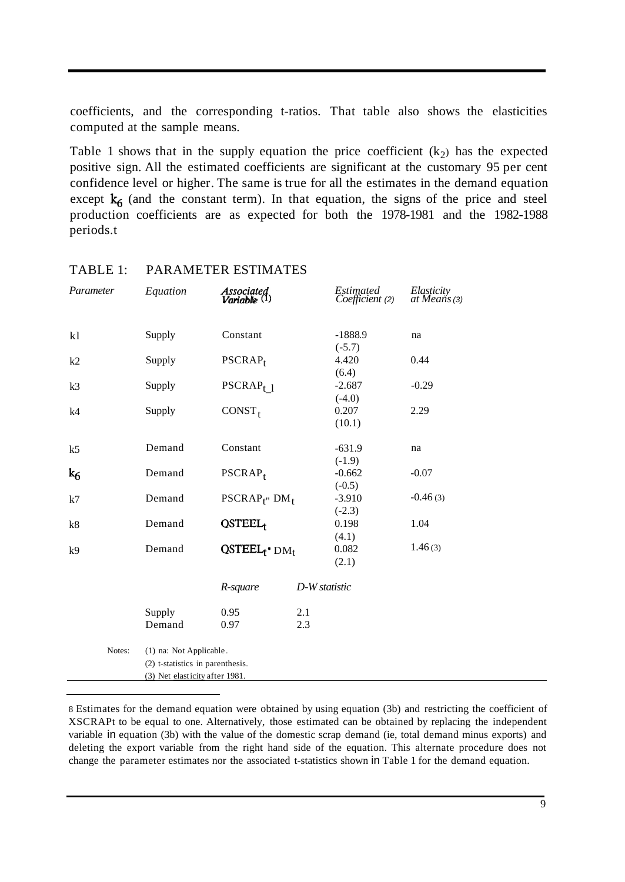coefficients, and the corresponding t-ratios. That table also shows the elasticities computed at the sample means.

Table 1 shows that in the supply equation the price coefficient  $(k<sub>2</sub>)$  has the expected positive sign. All the estimated coefficients are significant at the customary 95 per cent confidence level or higher. The same is true for all the estimates in the demand equation except  $k_6$  (and the constant term). In that equation, the signs of the price and steel production coefficients are as expected for both the 1978-1981 and the 1982-1988 periods.t

| Parameter      | Equation                         | <b>Associated</b><br>Variable $(1)$ |               | Estimated<br>Coefficient (2)  | Elasticity<br>at Means (3) |  |  |
|----------------|----------------------------------|-------------------------------------|---------------|-------------------------------|----------------------------|--|--|
| kl             | Supply                           | Constant                            |               | $-1888.9$<br>$(-5.7)$         | na                         |  |  |
| k2             | Supply                           | $PSCRAP_t$                          |               | 4.420                         | 0.44                       |  |  |
| k <sub>3</sub> | Supply                           | $PSCRAP_{t}$ 1                      |               | (6.4)<br>$-2.687$<br>$(-4.0)$ | $-0.29$                    |  |  |
| k4             | Supply                           | CONST <sub>t</sub>                  |               | 0.207<br>(10.1)               | 2.29                       |  |  |
| k <sub>5</sub> | Demand                           | Constant                            |               | $-631.9$<br>$(-1.9)$          | na                         |  |  |
| k <sub>6</sub> | Demand                           | $PSCRAP_t$                          |               | $-0.662$<br>$(-0.5)$          | $-0.07$                    |  |  |
| k7             | Demand                           | $PSCRAP_{f''}$ DM <sub>t</sub>      |               | $-3.910$<br>$(-2.3)$          | $-0.46(3)$                 |  |  |
| k8             | Demand                           | QSTEEL <sub>1</sub>                 |               | 0.198                         | 1.04                       |  |  |
| k <sub>9</sub> | Demand                           | $QSTEEL_t^*DM_t$                    |               | (4.1)<br>0.082<br>(2.1)       | 1.46(3)                    |  |  |
|                |                                  | R-square                            | D-W statistic |                               |                            |  |  |
|                | Supply                           | 0.95                                | 2.1           |                               |                            |  |  |
|                | Demand                           | 0.97                                | 2.3           |                               |                            |  |  |
| Notes:         | (1) na: Not Applicable.          |                                     |               |                               |                            |  |  |
|                | (2) t-statistics in parenthesis. |                                     |               |                               |                            |  |  |
|                | (3) Net elasticity after 1981.   |                                     |               |                               |                            |  |  |

#### TABLE 1: PARAMETER ESTIMATES

8 Estimates for the demand equation were obtained by using equation (3b) and restricting the coefficient of XSCRAPt to be equal to one. Alternatively, those estimated can be obtained by replacing the independent variable in equation (3b) with the value of the domestic scrap demand (ie, total demand minus exports) and deleting the export variable from the right hand side of the equation. This alternate procedure does not change the parameter estimates nor the associated t-statistics shown in Table 1 for the demand equation.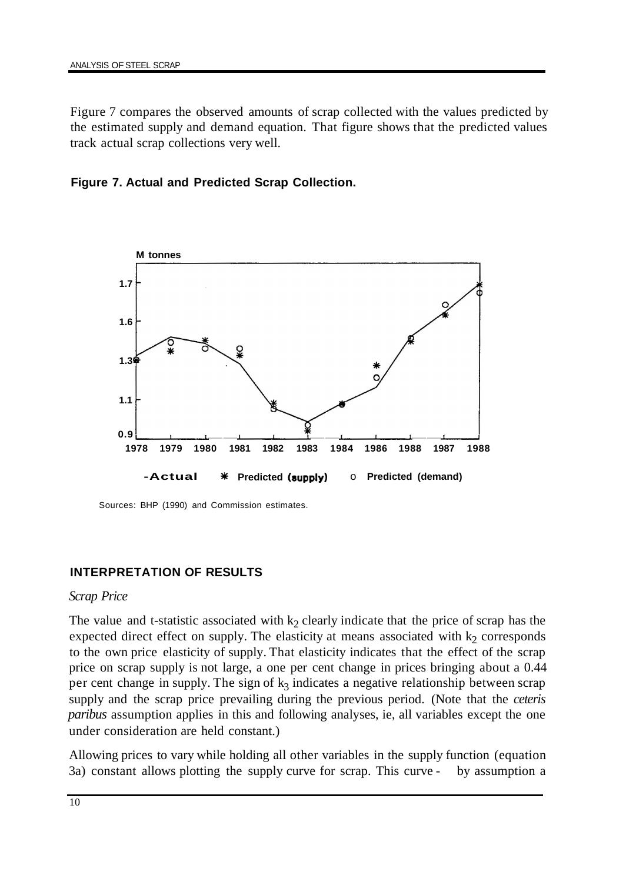Figure 7 compares the observed amounts of scrap collected with the values predicted by the estimated supply and demand equation. That figure shows that the predicted values track actual scrap collections very well.





Sources: BHP (1990) and Commission estimates.

# **INTERPRETATION OF RESULTS**

#### *Scrap Price*

The value and t-statistic associated with  $k_2$  clearly indicate that the price of scrap has the expected direct effect on supply. The elasticity at means associated with  $k_2$  corresponds to the own price elasticity of supply. That elasticity indicates that the effect of the scrap price on scrap supply is not large, a one per cent change in prices bringing about a 0.44 per cent change in supply. The sign of  $k_3$  indicates a negative relationship between scrap supply and the scrap price prevailing during the previous period. (Note that the *ceteris paribus* assumption applies in this and following analyses, ie, all variables except the one under consideration are held constant.)

Allowing prices to vary while holding all other variables in the supply function (equation 3a) constant allows plotting the supply curve for scrap. This curve - by assumption a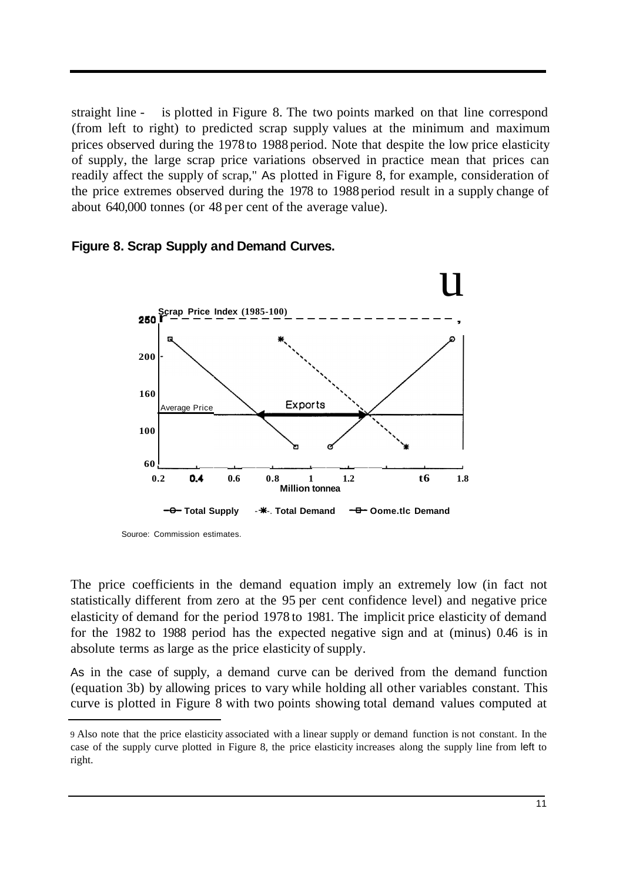straight line - is plotted in Figure 8. The two points marked on that line correspond (from left to right) to predicted scrap supply values at the minimum and maximum prices observed during the 1978 to 1988 period. Note that despite the low price elasticity of supply, the large scrap price variations observed in practice mean that prices can readily affect the supply of scrap," As plotted in Figure 8, for example, consideration of the price extremes observed during the 1978 to 1988 period result in a supply change of about 640,000 tonnes (or 48 per cent of the average value).



# **Figure 8. Scrap Supply and Demand Curves.**

Souroe: Commission estimates.

The price coefficients in the demand equation imply an extremely low (in fact not statistically different from zero at the 95 per cent confidence level) and negative price elasticity of demand for the period 1978 to 1981. The implicit price elasticity of demand for the 1982 to 1988 period has the expected negative sign and at (minus) 0.46 is in absolute terms as large as the price elasticity of supply.

As in the case of supply, a demand curve can be derived from the demand function (equation 3b) by allowing prices to vary while holding all other variables constant. This curve is plotted in Figure 8 with two points showing total demand values computed at

<sup>9</sup> Also note that the price elasticity associated with a linear supply or demand function is not constant. In the case of the supply curve plotted in Figure 8, the price elasticity increases along the supply line from left to right.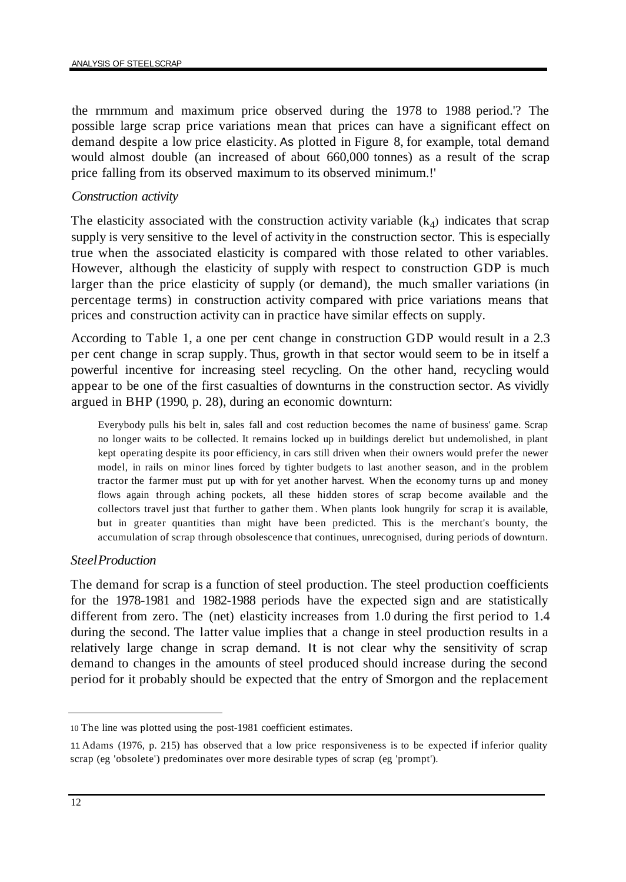the rmrnmum and maximum price observed during the 1978 to 1988 period.'? The possible large scrap price variations mean that prices can have a significant effect on demand despite a low price elasticity. As plotted in Figure 8, for example, total demand would almost double (an increased of about 660,000 tonnes) as a result of the scrap price falling from its observed maximum to its observed minimum.!'

#### *Construction activity*

The elasticity associated with the construction activity variable  $(k_4)$  indicates that scrap supply is very sensitive to the level of activity in the construction sector. This is especially true when the associated elasticity is compared with those related to other variables. However, although the elasticity of supply with respect to construction GDP is much larger than the price elasticity of supply (or demand), the much smaller variations (in percentage terms) in construction activity compared with price variations means that prices and construction activity can in practice have similar effects on supply.

According to Table 1, a one per cent change in construction GDP would result in a 2.3 per cent change in scrap supply. Thus, growth in that sector would seem to be in itself a powerful incentive for increasing steel recycling. On the other hand, recycling would appear to be one of the first casualties of downturns in the construction sector. As vividly argued in BHP (1990, p. 28), during an economic downturn:

Everybody pulls his belt in, sales fall and cost reduction becomes the name of business' game. Scrap no longer waits to be collected. It remains locked up in buildings derelict but undemolished, in plant kept operating despite its poor efficiency, in cars still driven when their owners would prefer the newer model, in rails on minor lines forced by tighter budgets to last another season, and in the problem tractor the farmer must put up with for yet another harvest. When the economy turns up and money flows again through aching pockets, all these hidden stores of scrap become available and the collectors travel just that further to gather them . When plants look hungrily for scrap it is available, but in greater quantities than might have been predicted. This is the merchant's bounty, the accumulation of scrap through obsolescence that continues, unrecognised, during periods of downturn.

#### *SteelProduction*

The demand for scrap is a function of steel production. The steel production coefficients for the 1978-1981 and 1982-1988 periods have the expected sign and are statistically different from zero. The (net) elasticity increases from 1.0 during the first period to 1.4 during the second. The latter value implies that a change in steel production results in a relatively large change in scrap demand. It is not clear why the sensitivity of scrap demand to changes in the amounts of steel produced should increase during the second period for it probably should be expected that the entry of Smorgon and the replacement

<sup>10</sup> The line was plotted using the post-1981 coefficient estimates.

<sup>11</sup>Adams (1976, p. 215) has observed that a low price responsiveness is to be expected if inferior quality scrap (eg 'obsolete') predominates over more desirable types of scrap (eg 'prompt').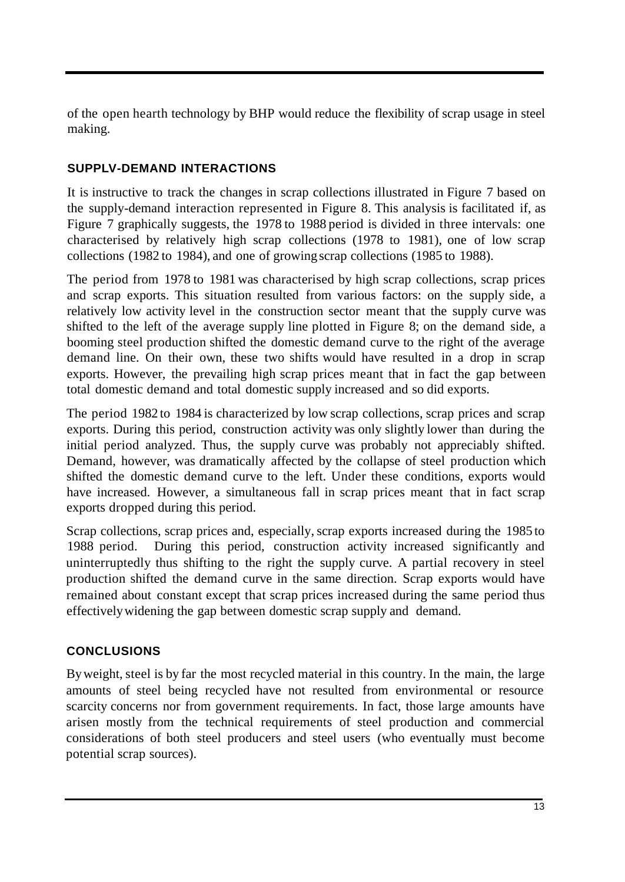of the open hearth technology by BHP would reduce the flexibility of scrap usage in steel making.

# **SUPPLV-DEMAND INTERACTIONS**

It is instructive to track the changes in scrap collections illustrated in Figure 7 based on the supply-demand interaction represented in Figure 8. This analysis is facilitated if, as Figure 7 graphically suggests, the 1978 to 1988 period is divided in three intervals: one characterised by relatively high scrap collections (1978 to 1981), one of low scrap collections (1982 to 1984), and one of growing scrap collections (1985 to 1988).

The period from 1978 to 1981 was characterised by high scrap collections, scrap prices and scrap exports. This situation resulted from various factors: on the supply side, a relatively low activity level in the construction sector meant that the supply curve was shifted to the left of the average supply line plotted in Figure 8; on the demand side, a booming steel production shifted the domestic demand curve to the right of the average demand line. On their own, these two shifts would have resulted in a drop in scrap exports. However, the prevailing high scrap prices meant that in fact the gap between total domestic demand and total domestic supply increased and so did exports.

The period 1982 to 1984 is characterized by low scrap collections, scrap prices and scrap exports. During this period, construction activity was only slightly lower than during the initial period analyzed. Thus, the supply curve was probably not appreciably shifted. Demand, however, was dramatically affected by the collapse of steel production which shifted the domestic demand curve to the left. Under these conditions, exports would have increased. However, a simultaneous fall in scrap prices meant that in fact scrap exports dropped during this period.

Scrap collections, scrap prices and, especially, scrap exports increased during the 1985 to 1988 period. During this period, construction activity increased significantly and uninterruptedly thus shifting to the right the supply curve. A partial recovery in steel production shifted the demand curve in the same direction. Scrap exports would have remained about constant except that scrap prices increased during the same period thus effectivelywidening the gap between domestic scrap supply and demand.

# **CONCLUSIONS**

By weight, steel is by far the most recycled material in this country. In the main, the large amounts of steel being recycled have not resulted from environmental or resource scarcity concerns nor from government requirements. In fact, those large amounts have arisen mostly from the technical requirements of steel production and commercial considerations of both steel producers and steel users (who eventually must become potential scrap sources).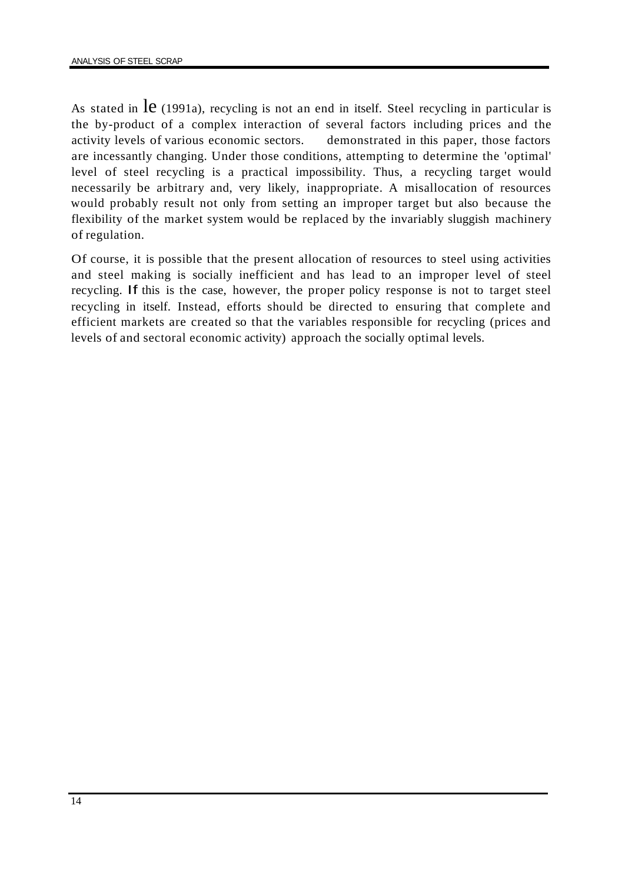As stated in  $\text{le }$  (1991a), recycling is not an end in itself. Steel recycling in particular is the by-product of a complex interaction of several factors including prices and the activity levels of various economic sectors. demonstrated in this paper, those factors are incessantly changing. Under those conditions, attempting to determine the 'optimal' level of steel recycling is a practical impossibility. Thus, a recycling target would necessarily be arbitrary and, very likely, inappropriate. A misallocation of resources would probably result not only from setting an improper target but also because the flexibility of the market system would be replaced by the invariably sluggish machinery of regulation.

Of course, it is possible that the present allocation of resources to steel using activities and steel making is socially inefficient and has lead to an improper level of steel recycling. If this is the case, however, the proper policy response is not to target steel recycling in itself. Instead, efforts should be directed to ensuring that complete and efficient markets are created so that the variables responsible for recycling (prices and levels of and sectoral economic activity) approach the socially optimal levels.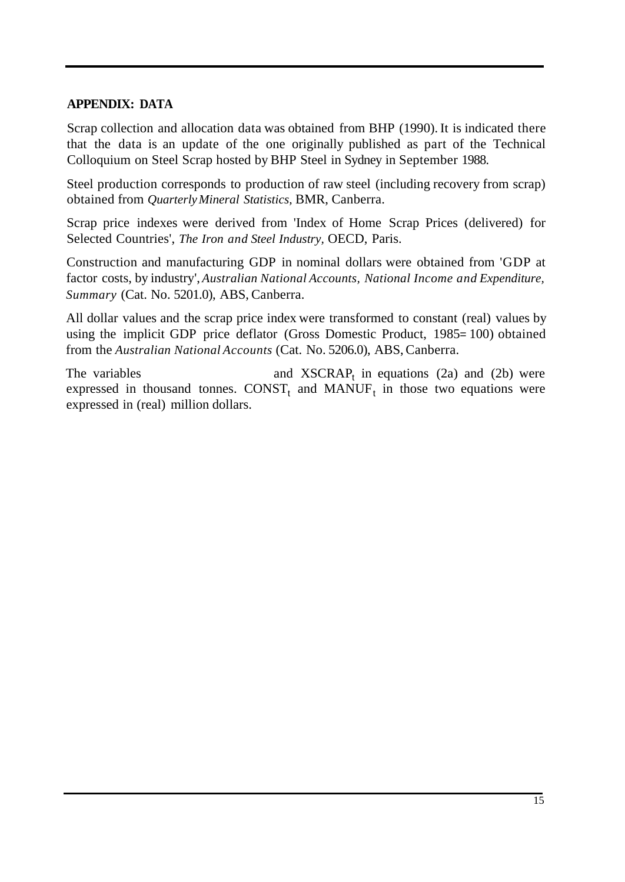# **APPENDIX: DATA**

Scrap collection and allocation data was obtained from BHP (1990). It is indicated there that the data is an update of the one originally published as part of the Technical Colloquium on Steel Scrap hosted by BHP Steel in Sydney in September 1988.

Steel production corresponds to production of raw steel (including recovery from scrap) obtained from *QuarterlyMineral Statistics,* BMR, Canberra.

Scrap price indexes were derived from 'Index of Home Scrap Prices (delivered) for Selected Countries', *The Iron and Steel Industry,* OECD, Paris.

Construction and manufacturing GDP in nominal dollars were obtained from 'GDP at factor costs, by industry', *Australian National Accounts, National Income and Expenditure, Summary* (Cat. No. 5201.0), ABS, Canberra.

All dollar values and the scrap price index were transformed to constant (real) values by using the implicit GDP price deflator (Gross Domestic Product, 1985= 100) obtained from the *Australian National Accounts* (Cat. No. 5206.0), ABS, Canberra.

The variables  $\qquad$  and XSCRAP<sub>t</sub> in equations (2a) and (2b) were expressed in thousand tonnes. CONST<sub>t</sub> and MANUF<sub>t</sub> in those two equations were expressed in (real) million dollars.